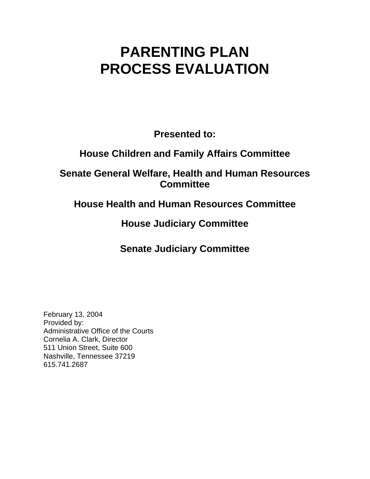# **PARENTING PLAN PROCESS EVALUATION**

**Presented to:** 

# **House Children and Family Affairs Committee**

### **Senate General Welfare, Health and Human Resources Committee**

## **House Health and Human Resources Committee**

# **House Judiciary Committee**

# **Senate Judiciary Committee**

February 13, 2004 Provided by: Administrative Office of the Courts Cornelia A. Clark, Director 511 Union Street, Suite 600 Nashville, Tennessee 37219 615.741.2687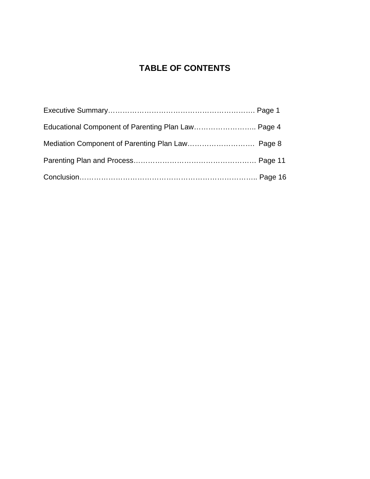### **TABLE OF CONTENTS**

| Educational Component of Parenting Plan Law Page 4 |  |
|----------------------------------------------------|--|
|                                                    |  |
|                                                    |  |
|                                                    |  |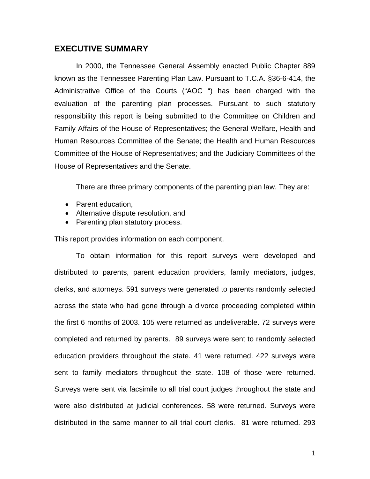### **EXECUTIVE SUMMARY**

In 2000, the Tennessee General Assembly enacted Public Chapter 889 known as the Tennessee Parenting Plan Law. Pursuant to T.C.A. §36-6-414, the Administrative Office of the Courts ("AOC ") has been charged with the evaluation of the parenting plan processes. Pursuant to such statutory responsibility this report is being submitted to the Committee on Children and Family Affairs of the House of Representatives; the General Welfare, Health and Human Resources Committee of the Senate; the Health and Human Resources Committee of the House of Representatives; and the Judiciary Committees of the House of Representatives and the Senate.

There are three primary components of the parenting plan law. They are:

- Parent education,
- Alternative dispute resolution, and
- Parenting plan statutory process.

This report provides information on each component.

To obtain information for this report surveys were developed and distributed to parents, parent education providers, family mediators, judges, clerks, and attorneys. 591 surveys were generated to parents randomly selected across the state who had gone through a divorce proceeding completed within the first 6 months of 2003. 105 were returned as undeliverable. 72 surveys were completed and returned by parents. 89 surveys were sent to randomly selected education providers throughout the state. 41 were returned. 422 surveys were sent to family mediators throughout the state. 108 of those were returned. Surveys were sent via facsimile to all trial court judges throughout the state and were also distributed at judicial conferences. 58 were returned. Surveys were distributed in the same manner to all trial court clerks. 81 were returned. 293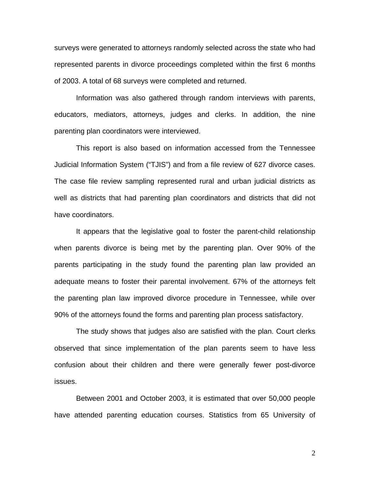surveys were generated to attorneys randomly selected across the state who had represented parents in divorce proceedings completed within the first 6 months of 2003. A total of 68 surveys were completed and returned.

Information was also gathered through random interviews with parents, educators, mediators, attorneys, judges and clerks. In addition, the nine parenting plan coordinators were interviewed.

This report is also based on information accessed from the Tennessee Judicial Information System ("TJIS") and from a file review of 627 divorce cases. The case file review sampling represented rural and urban judicial districts as well as districts that had parenting plan coordinators and districts that did not have coordinators.

It appears that the legislative goal to foster the parent-child relationship when parents divorce is being met by the parenting plan. Over 90% of the parents participating in the study found the parenting plan law provided an adequate means to foster their parental involvement. 67% of the attorneys felt the parenting plan law improved divorce procedure in Tennessee, while over 90% of the attorneys found the forms and parenting plan process satisfactory.

The study shows that judges also are satisfied with the plan. Court clerks observed that since implementation of the plan parents seem to have less confusion about their children and there were generally fewer post-divorce issues.

Between 2001 and October 2003, it is estimated that over 50,000 people have attended parenting education courses. Statistics from 65 University of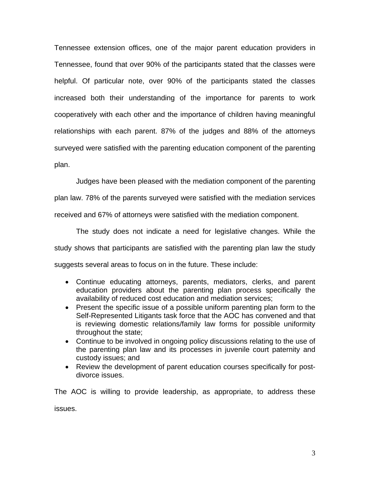Tennessee extension offices, one of the major parent education providers in Tennessee, found that over 90% of the participants stated that the classes were helpful. Of particular note, over 90% of the participants stated the classes increased both their understanding of the importance for parents to work cooperatively with each other and the importance of children having meaningful relationships with each parent. 87% of the judges and 88% of the attorneys surveyed were satisfied with the parenting education component of the parenting plan.

Judges have been pleased with the mediation component of the parenting

plan law. 78% of the parents surveyed were satisfied with the mediation services received and 67% of attorneys were satisfied with the mediation component.

The study does not indicate a need for legislative changes. While the study shows that participants are satisfied with the parenting plan law the study suggests several areas to focus on in the future. These include:

- Continue educating attorneys, parents, mediators, clerks, and parent education providers about the parenting plan process specifically the availability of reduced cost education and mediation services;
- Present the specific issue of a possible uniform parenting plan form to the Self-Represented Litigants task force that the AOC has convened and that is reviewing domestic relations/family law forms for possible uniformity throughout the state;
- Continue to be involved in ongoing policy discussions relating to the use of the parenting plan law and its processes in juvenile court paternity and custody issues; and
- Review the development of parent education courses specifically for postdivorce issues.

The AOC is willing to provide leadership, as appropriate, to address these issues.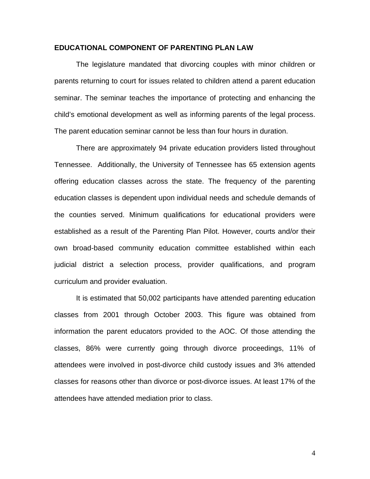### **EDUCATIONAL COMPONENT OF PARENTING PLAN LAW**

The legislature mandated that divorcing couples with minor children or parents returning to court for issues related to children attend a parent education seminar. The seminar teaches the importance of protecting and enhancing the child's emotional development as well as informing parents of the legal process. The parent education seminar cannot be less than four hours in duration.

There are approximately 94 private education providers listed throughout Tennessee. Additionally, the University of Tennessee has 65 extension agents offering education classes across the state. The frequency of the parenting education classes is dependent upon individual needs and schedule demands of the counties served. Minimum qualifications for educational providers were established as a result of the Parenting Plan Pilot. However, courts and/or their own broad-based community education committee established within each judicial district a selection process, provider qualifications, and program curriculum and provider evaluation.

It is estimated that 50,002 participants have attended parenting education classes from 2001 through October 2003. This figure was obtained from information the parent educators provided to the AOC. Of those attending the classes, 86% were currently going through divorce proceedings, 11% of attendees were involved in post-divorce child custody issues and 3% attended classes for reasons other than divorce or post-divorce issues. At least 17% of the attendees have attended mediation prior to class.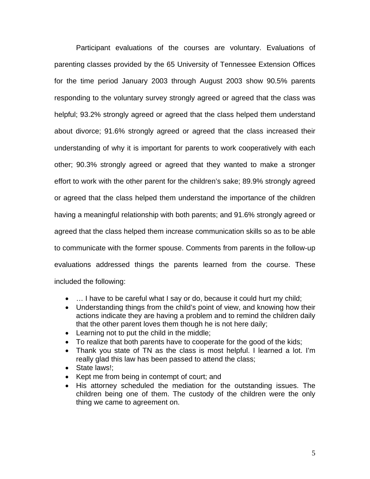Participant evaluations of the courses are voluntary. Evaluations of parenting classes provided by the 65 University of Tennessee Extension Offices for the time period January 2003 through August 2003 show 90.5% parents responding to the voluntary survey strongly agreed or agreed that the class was helpful; 93.2% strongly agreed or agreed that the class helped them understand about divorce; 91.6% strongly agreed or agreed that the class increased their understanding of why it is important for parents to work cooperatively with each other; 90.3% strongly agreed or agreed that they wanted to make a stronger effort to work with the other parent for the children's sake; 89.9% strongly agreed or agreed that the class helped them understand the importance of the children having a meaningful relationship with both parents; and 91.6% strongly agreed or agreed that the class helped them increase communication skills so as to be able to communicate with the former spouse. Comments from parents in the follow-up evaluations addressed things the parents learned from the course. These included the following:

- ... I have to be careful what I say or do, because it could hurt my child;
- Understanding things from the child's point of view, and knowing how their actions indicate they are having a problem and to remind the children daily that the other parent loves them though he is not here daily;
- Learning not to put the child in the middle;
- To realize that both parents have to cooperate for the good of the kids;
- Thank you state of TN as the class is most helpful. I learned a lot. I'm really glad this law has been passed to attend the class;
- State laws!:
- Kept me from being in contempt of court; and
- His attorney scheduled the mediation for the outstanding issues. The children being one of them. The custody of the children were the only thing we came to agreement on.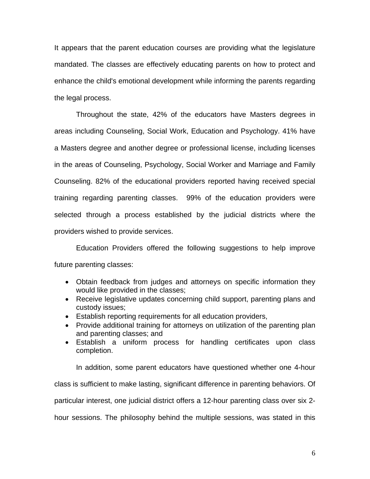It appears that the parent education courses are providing what the legislature mandated. The classes are effectively educating parents on how to protect and enhance the child's emotional development while informing the parents regarding the legal process.

Throughout the state, 42% of the educators have Masters degrees in areas including Counseling, Social Work, Education and Psychology. 41% have a Masters degree and another degree or professional license, including licenses in the areas of Counseling, Psychology, Social Worker and Marriage and Family Counseling. 82% of the educational providers reported having received special training regarding parenting classes. 99% of the education providers were selected through a process established by the judicial districts where the providers wished to provide services.

Education Providers offered the following suggestions to help improve future parenting classes:

- Obtain feedback from judges and attorneys on specific information they would like provided in the classes;
- Receive legislative updates concerning child support, parenting plans and custody issues;
- Establish reporting requirements for all education providers,
- Provide additional training for attorneys on utilization of the parenting plan and parenting classes; and
- Establish a uniform process for handling certificates upon class completion.

In addition, some parent educators have questioned whether one 4-hour class is sufficient to make lasting, significant difference in parenting behaviors. Of particular interest, one judicial district offers a 12-hour parenting class over six 2 hour sessions. The philosophy behind the multiple sessions, was stated in this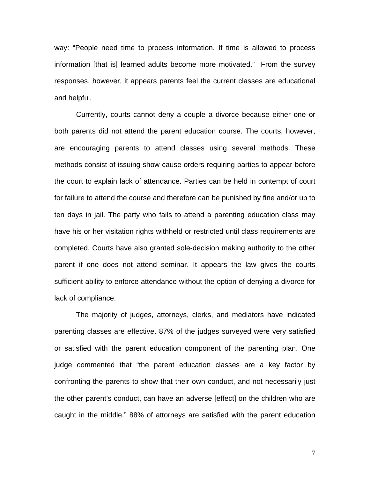way: "People need time to process information. If time is allowed to process information [that is] learned adults become more motivated." From the survey responses, however, it appears parents feel the current classes are educational and helpful.

Currently, courts cannot deny a couple a divorce because either one or both parents did not attend the parent education course. The courts, however, are encouraging parents to attend classes using several methods. These methods consist of issuing show cause orders requiring parties to appear before the court to explain lack of attendance. Parties can be held in contempt of court for failure to attend the course and therefore can be punished by fine and/or up to ten days in jail. The party who fails to attend a parenting education class may have his or her visitation rights withheld or restricted until class requirements are completed. Courts have also granted sole-decision making authority to the other parent if one does not attend seminar. It appears the law gives the courts sufficient ability to enforce attendance without the option of denying a divorce for lack of compliance.

The majority of judges, attorneys, clerks, and mediators have indicated parenting classes are effective. 87% of the judges surveyed were very satisfied or satisfied with the parent education component of the parenting plan. One judge commented that "the parent education classes are a key factor by confronting the parents to show that their own conduct, and not necessarily just the other parent's conduct, can have an adverse [effect] on the children who are caught in the middle." 88% of attorneys are satisfied with the parent education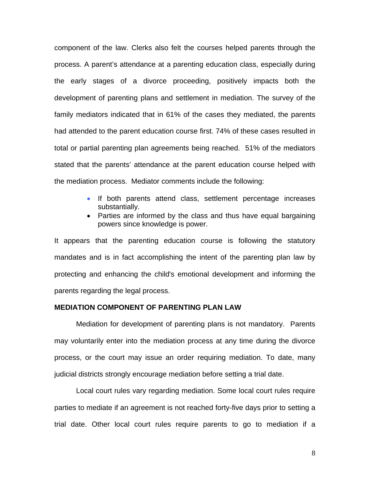component of the law. Clerks also felt the courses helped parents through the process. A parent's attendance at a parenting education class, especially during the early stages of a divorce proceeding, positively impacts both the development of parenting plans and settlement in mediation. The survey of the family mediators indicated that in 61% of the cases they mediated, the parents had attended to the parent education course first. 74% of these cases resulted in total or partial parenting plan agreements being reached. 51% of the mediators stated that the parents' attendance at the parent education course helped with the mediation process. Mediator comments include the following:

- If both parents attend class, settlement percentage increases substantially.
- Parties are informed by the class and thus have equal bargaining powers since knowledge is power.

It appears that the parenting education course is following the statutory mandates and is in fact accomplishing the intent of the parenting plan law by protecting and enhancing the child's emotional development and informing the parents regarding the legal process.

#### **MEDIATION COMPONENT OF PARENTING PLAN LAW**

Mediation for development of parenting plans is not mandatory. Parents may voluntarily enter into the mediation process at any time during the divorce process, or the court may issue an order requiring mediation. To date, many judicial districts strongly encourage mediation before setting a trial date.

Local court rules vary regarding mediation. Some local court rules require parties to mediate if an agreement is not reached forty-five days prior to setting a trial date. Other local court rules require parents to go to mediation if a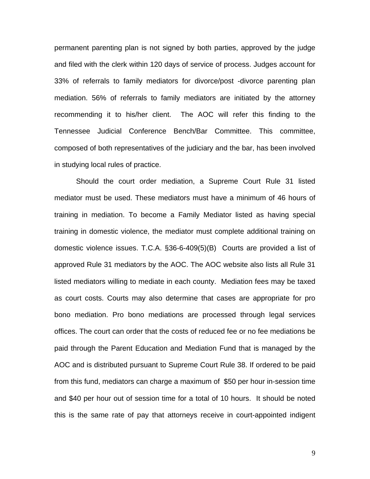permanent parenting plan is not signed by both parties, approved by the judge and filed with the clerk within 120 days of service of process. Judges account for 33% of referrals to family mediators for divorce/post -divorce parenting plan mediation. 56% of referrals to family mediators are initiated by the attorney recommending it to his/her client. The AOC will refer this finding to the Tennessee Judicial Conference Bench/Bar Committee. This committee, composed of both representatives of the judiciary and the bar, has been involved in studying local rules of practice.

Should the court order mediation, a Supreme Court Rule 31 listed mediator must be used. These mediators must have a minimum of 46 hours of training in mediation. To become a Family Mediator listed as having special training in domestic violence, the mediator must complete additional training on domestic violence issues. T.C.A. §36-6-409(5)(B) Courts are provided a list of approved Rule 31 mediators by the AOC. The AOC website also lists all Rule 31 listed mediators willing to mediate in each county. Mediation fees may be taxed as court costs. Courts may also determine that cases are appropriate for pro bono mediation. Pro bono mediations are processed through legal services offices. The court can order that the costs of reduced fee or no fee mediations be paid through the Parent Education and Mediation Fund that is managed by the AOC and is distributed pursuant to Supreme Court Rule 38. If ordered to be paid from this fund, mediators can charge a maximum of \$50 per hour in-session time and \$40 per hour out of session time for a total of 10 hours. It should be noted this is the same rate of pay that attorneys receive in court-appointed indigent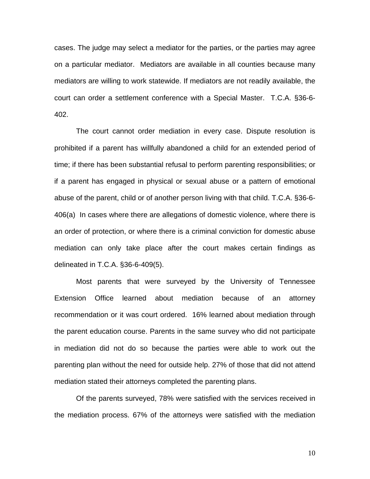cases. The judge may select a mediator for the parties, or the parties may agree on a particular mediator. Mediators are available in all counties because many mediators are willing to work statewide. If mediators are not readily available, the court can order a settlement conference with a Special Master. T.C.A. §36-6- 402.

The court cannot order mediation in every case. Dispute resolution is prohibited if a parent has willfully abandoned a child for an extended period of time; if there has been substantial refusal to perform parenting responsibilities; or if a parent has engaged in physical or sexual abuse or a pattern of emotional abuse of the parent, child or of another person living with that child. T.C.A. §36-6- 406(a) In cases where there are allegations of domestic violence, where there is an order of protection, or where there is a criminal conviction for domestic abuse mediation can only take place after the court makes certain findings as delineated in T.C.A. §36-6-409(5).

Most parents that were surveyed by the University of Tennessee Extension Office learned about mediation because of an attorney recommendation or it was court ordered. 16% learned about mediation through the parent education course. Parents in the same survey who did not participate in mediation did not do so because the parties were able to work out the parenting plan without the need for outside help. 27% of those that did not attend mediation stated their attorneys completed the parenting plans.

Of the parents surveyed, 78% were satisfied with the services received in the mediation process. 67% of the attorneys were satisfied with the mediation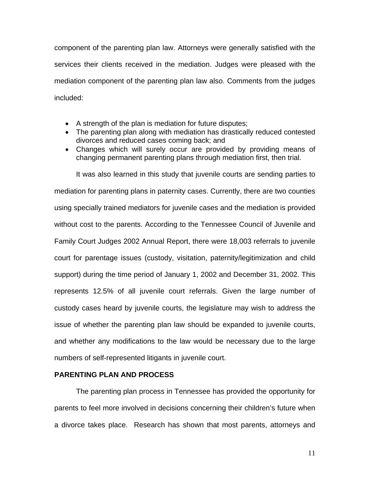component of the parenting plan law. Attorneys were generally satisfied with the services their clients received in the mediation. Judges were pleased with the mediation component of the parenting plan law also. Comments from the judges included:

- A strength of the plan is mediation for future disputes;
- The parenting plan along with mediation has drastically reduced contested divorces and reduced cases coming back; and
- Changes which will surely occur are provided by providing means of changing permanent parenting plans through mediation first, then trial.

It was also learned in this study that juvenile courts are sending parties to mediation for parenting plans in paternity cases. Currently, there are two counties using specially trained mediators for juvenile cases and the mediation is provided without cost to the parents. According to the Tennessee Council of Juvenile and Family Court Judges 2002 Annual Report, there were 18,003 referrals to juvenile court for parentage issues (custody, visitation, paternity/legitimization and child support) during the time period of January 1, 2002 and December 31, 2002. This represents 12.5% of all juvenile court referrals. Given the large number of custody cases heard by juvenile courts, the legislature may wish to address the issue of whether the parenting plan law should be expanded to juvenile courts, and whether any modifications to the law would be necessary due to the large numbers of self-represented litigants in juvenile court.

### **PARENTING PLAN AND PROCESS**

The parenting plan process in Tennessee has provided the opportunity for parents to feel more involved in decisions concerning their children's future when a divorce takes place. Research has shown that most parents, attorneys and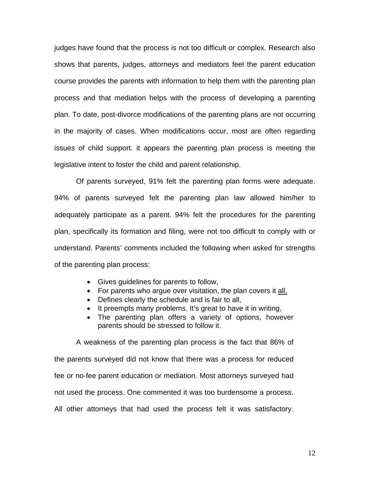judges have found that the process is not too difficult or complex. Research also shows that parents, judges, attorneys and mediators feel the parent education course provides the parents with information to help them with the parenting plan process and that mediation helps with the process of developing a parenting plan. To date, post-divorce modifications of the parenting plans are not occurring in the majority of cases. When modifications occur, most are often regarding issues of child support. it appears the parenting plan process is meeting the legislative intent to foster the child and parent relationship.

Of parents surveyed, 91% felt the parenting plan forms were adequate. 94% of parents surveyed felt the parenting plan law allowed him/her to adequately participate as a parent. 94% felt the procedures for the parenting plan, specifically its formation and filing, were not too difficult to comply with or understand. Parents' comments included the following when asked for strengths of the parenting plan process:

- Gives guidelines for parents to follow,
- For parents who argue over visitation, the plan covers it all,
- Defines clearly the schedule and is fair to all,
- It preempts many problems. It's great to have it in writing,
- The parenting plan offers a variety of options, however parents should be stressed to follow it.

A weakness of the parenting plan process is the fact that 86% of the parents surveyed did not know that there was a process for reduced fee or no-fee parent education or mediation. Most attorneys surveyed had not used the process. One commented it was too burdensome a process. All other attorneys that had used the process felt it was satisfactory.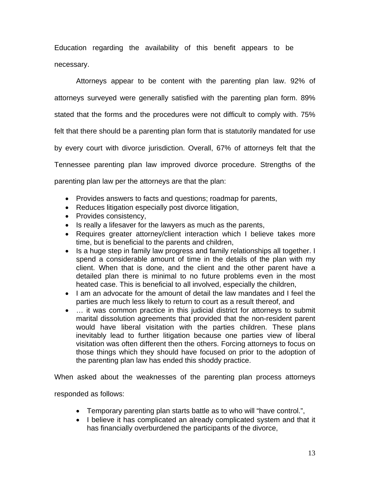Education regarding the availability of this benefit appears to be necessary.

Attorneys appear to be content with the parenting plan law. 92% of attorneys surveyed were generally satisfied with the parenting plan form. 89% stated that the forms and the procedures were not difficult to comply with. 75% felt that there should be a parenting plan form that is statutorily mandated for use by every court with divorce jurisdiction. Overall, 67% of attorneys felt that the Tennessee parenting plan law improved divorce procedure. Strengths of the parenting plan law per the attorneys are that the plan:

- Provides answers to facts and questions; roadmap for parents,
- Reduces litigation especially post divorce litigation,
- Provides consistency,
- Is really a lifesaver for the lawyers as much as the parents,
- Requires greater attorney/client interaction which I believe takes more time, but is beneficial to the parents and children,
- Is a huge step in family law progress and family relationships all together. I spend a considerable amount of time in the details of the plan with my client. When that is done, and the client and the other parent have a detailed plan there is minimal to no future problems even in the most heated case. This is beneficial to all involved, especially the children,
- I am an advocate for the amount of detail the law mandates and I feel the parties are much less likely to return to court as a result thereof, and
- … it was common practice in this judicial district for attorneys to submit marital dissolution agreements that provided that the non-resident parent would have liberal visitation with the parties children. These plans inevitably lead to further litigation because one parties view of liberal visitation was often different then the others. Forcing attorneys to focus on those things which they should have focused on prior to the adoption of the parenting plan law has ended this shoddy practice.

When asked about the weaknesses of the parenting plan process attorneys

responded as follows:

- Temporary parenting plan starts battle as to who will "have control.",
- I believe it has complicated an already complicated system and that it has financially overburdened the participants of the divorce,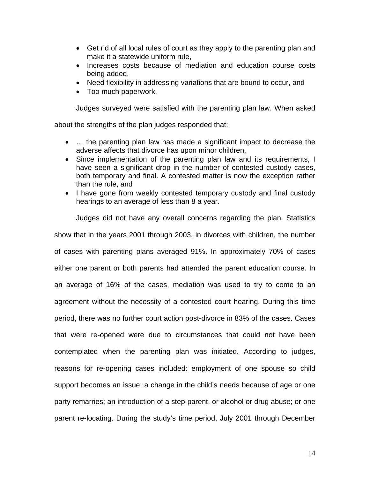- Get rid of all local rules of court as they apply to the parenting plan and make it a statewide uniform rule,
- Increases costs because of mediation and education course costs being added,
- Need flexibility in addressing variations that are bound to occur, and
- Too much paperwork.

Judges surveyed were satisfied with the parenting plan law. When asked

about the strengths of the plan judges responded that:

- ... the parenting plan law has made a significant impact to decrease the adverse affects that divorce has upon minor children,
- Since implementation of the parenting plan law and its requirements, I have seen a significant drop in the number of contested custody cases, both temporary and final. A contested matter is now the exception rather than the rule, and
- I have gone from weekly contested temporary custody and final custody hearings to an average of less than 8 a year.

Judges did not have any overall concerns regarding the plan. Statistics show that in the years 2001 through 2003, in divorces with children, the number of cases with parenting plans averaged 91%. In approximately 70% of cases either one parent or both parents had attended the parent education course. In an average of 16% of the cases, mediation was used to try to come to an agreement without the necessity of a contested court hearing. During this time period, there was no further court action post-divorce in 83% of the cases. Cases that were re-opened were due to circumstances that could not have been contemplated when the parenting plan was initiated. According to judges, reasons for re-opening cases included: employment of one spouse so child support becomes an issue; a change in the child's needs because of age or one party remarries; an introduction of a step-parent, or alcohol or drug abuse; or one parent re-locating. During the study's time period, July 2001 through December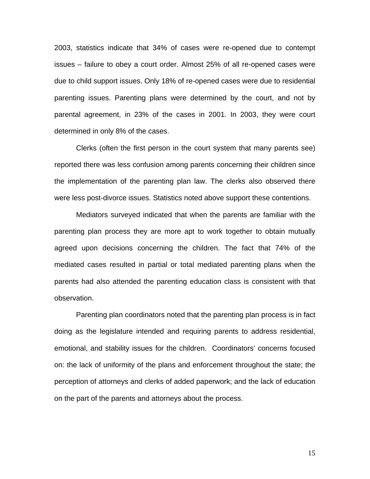2003, statistics indicate that 34% of cases were re-opened due to contempt issues – failure to obey a court order. Almost 25% of all re-opened cases were due to child support issues. Only 18% of re-opened cases were due to residential parenting issues. Parenting plans were determined by the court, and not by parental agreement, in 23% of the cases in 2001. In 2003, they were court determined in only 8% of the cases.

Clerks (often the first person in the court system that many parents see) reported there was less confusion among parents concerning their children since the implementation of the parenting plan law. The clerks also observed there were less post-divorce issues. Statistics noted above support these contentions.

Mediators surveyed indicated that when the parents are familiar with the parenting plan process they are more apt to work together to obtain mutually agreed upon decisions concerning the children. The fact that 74% of the mediated cases resulted in partial or total mediated parenting plans when the parents had also attended the parenting education class is consistent with that observation.

Parenting plan coordinators noted that the parenting plan process is in fact doing as the legislature intended and requiring parents to address residential, emotional, and stability issues for the children. Coordinators' concerns focused on: the lack of uniformity of the plans and enforcement throughout the state; the perception of attorneys and clerks of added paperwork; and the lack of education on the part of the parents and attorneys about the process.